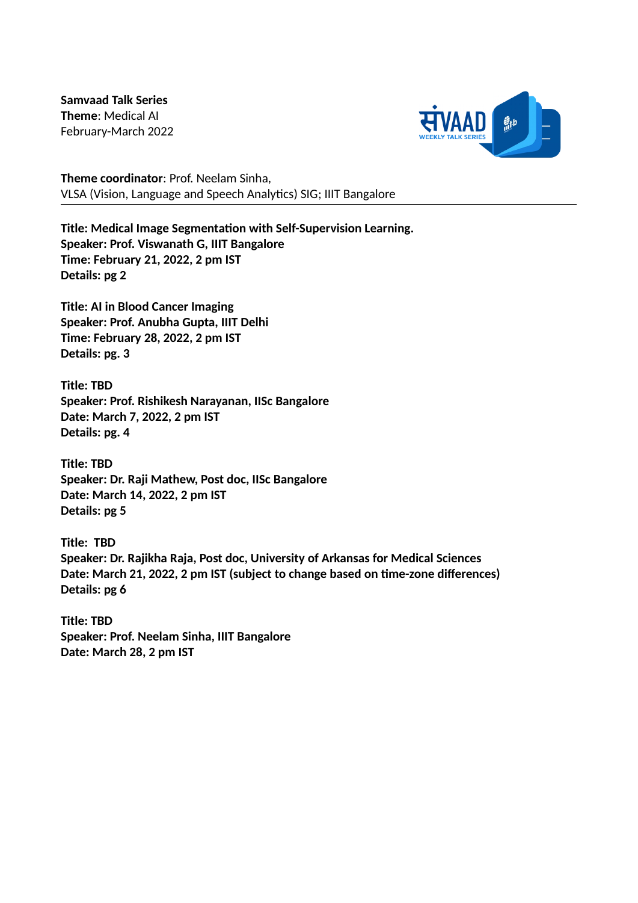**Samvaad Talk Series Theme**: Medical AI February-March 2022



**Theme coordinator**: Prof. Neelam Sinha, VLSA (Vision, Language and Speech Analytics) SIG; IIIT Bangalore

**Title: Medical Image Segmentation with Self-Supervision Learning. Speaker: Prof. Viswanath G, IIIT Bangalore Time: February 21, 2022, 2 pm IST Details: pg 2**

**Title: AI in Blood Cancer Imaging Speaker: Prof. Anubha Gupta, IIIT Delhi Time: February 28, 2022, 2 pm IST Details: pg. 3**

**Title: TBD Speaker: Prof. Rishikesh Narayanan, IISc Bangalore Date: March 7, 2022, 2 pm IST Details: pg. 4**

**Title: TBD Speaker: Dr. Raji Mathew, Post doc, IISc Bangalore Date: March 14, 2022, 2 pm IST Details: pg 5**

**Title: TBD Speaker: Dr. Rajikha Raja, Post doc, University of Arkansas for Medical Sciences Date: March 21, 2022, 2 pm IST (subject to change based on time-zone differences) Details: pg 6**

**Title: TBD Speaker: Prof. Neelam Sinha, IIIT Bangalore Date: March 28, 2 pm IST**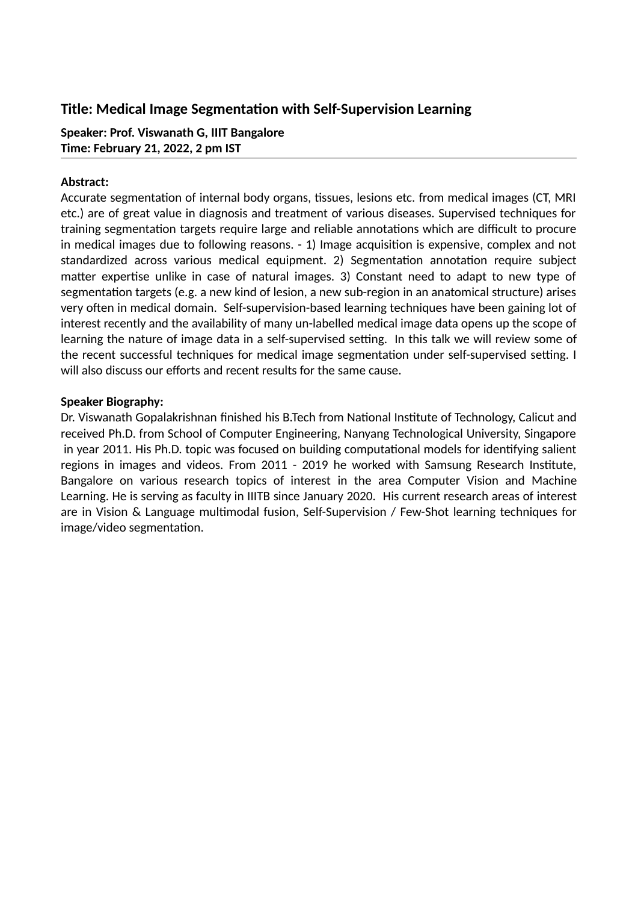## **Title: Medical Image Segmentation with Self-Supervision Learning**

**Speaker: Prof. Viswanath G, IIIT Bangalore Time: February 21, 2022, 2 pm IST**

## **Abstract:**

Accurate segmentation of internal body organs, tissues, lesions etc. from medical images (CT, MRI etc.) are of great value in diagnosis and treatment of various diseases. Supervised techniques for training segmentation targets require large and reliable annotations which are difficult to procure in medical images due to following reasons. - 1) Image acquisition is expensive, complex and not standardized across various medical equipment. 2) Segmentation annotation require subject matter expertise unlike in case of natural images. 3) Constant need to adapt to new type of segmentation targets (e.g. a new kind of lesion, a new sub-region in an anatomical structure) arises very often in medical domain. Self-supervision-based learning techniques have been gaining lot of interest recently and the availability of many un-labelled medical image data opens up the scope of learning the nature of image data in a self-supervised setting. In this talk we will review some of the recent successful techniques for medical image segmentation under self-supervised setting. I will also discuss our efforts and recent results for the same cause.

## **Speaker Biography:**

Dr. Viswanath Gopalakrishnan finished his B.Tech from National Institute of Technology, Calicut and received Ph.D. from School of Computer Engineering, Nanyang Technological University, Singapore in year 2011. His Ph.D. topic was focused on building computational models for identifying salient regions in images and videos. From 2011 - 2019 he worked with Samsung Research Institute, Bangalore on various research topics of interest in the area Computer Vision and Machine Learning. He is serving as faculty in IIITB since January 2020. His current research areas of interest are in Vision & Language multimodal fusion, Self-Supervision / Few-Shot learning techniques for image/video segmentation.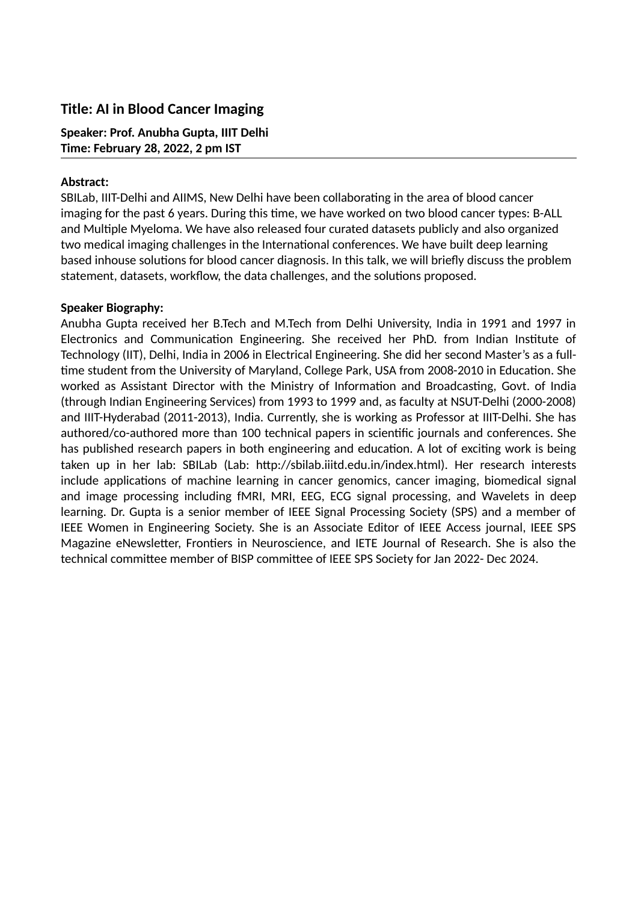## **Title: AI in Blood Cancer Imaging**

**Speaker: Prof. Anubha Gupta, IIIT Delhi Time: February 28, 2022, 2 pm IST**

## **Abstract:**

SBILab, IIIT-Delhi and AIIMS, New Delhi have been collaborating in the area of blood cancer imaging for the past 6 years. During this time, we have worked on two blood cancer types: B-ALL and Multiple Myeloma. We have also released four curated datasets publicly and also organized two medical imaging challenges in the International conferences. We have built deep learning based inhouse solutions for blood cancer diagnosis. In this talk, we will briefly discuss the problem statement, datasets, workflow, the data challenges, and the solutions proposed.

## **Speaker Biography:**

Anubha Gupta received her B.Tech and M.Tech from Delhi University, India in 1991 and 1997 in Electronics and Communication Engineering. She received her PhD. from Indian Institute of Technology (IIT), Delhi, India in 2006 in Electrical Engineering. She did her second Master's as a fulltime student from the University of Maryland, College Park, USA from 2008-2010 in Education. She worked as Assistant Director with the Ministry of Information and Broadcasting, Govt. of India (through Indian Engineering Services) from 1993 to 1999 and, as faculty at NSUT-Delhi (2000-2008) and IIIT-Hyderabad (2011-2013), India. Currently, she is working as Professor at IIIT-Delhi. She has authored/co-authored more than 100 technical papers in scientific journals and conferences. She has published research papers in both engineering and education. A lot of exciting work is being taken up in her lab: SBILab (Lab: http://sbilab.iiitd.edu.in/index.html). Her research interests include applications of machine learning in cancer genomics, cancer imaging, biomedical signal and image processing including fMRI, MRI, EEG, ECG signal processing, and Wavelets in deep learning. Dr. Gupta is a senior member of IEEE Signal Processing Society (SPS) and a member of IEEE Women in Engineering Society. She is an Associate Editor of IEEE Access journal, IEEE SPS Magazine eNewsletter, Frontiers in Neuroscience, and IETE Journal of Research. She is also the technical committee member of BISP committee of IEEE SPS Society for Jan 2022- Dec 2024.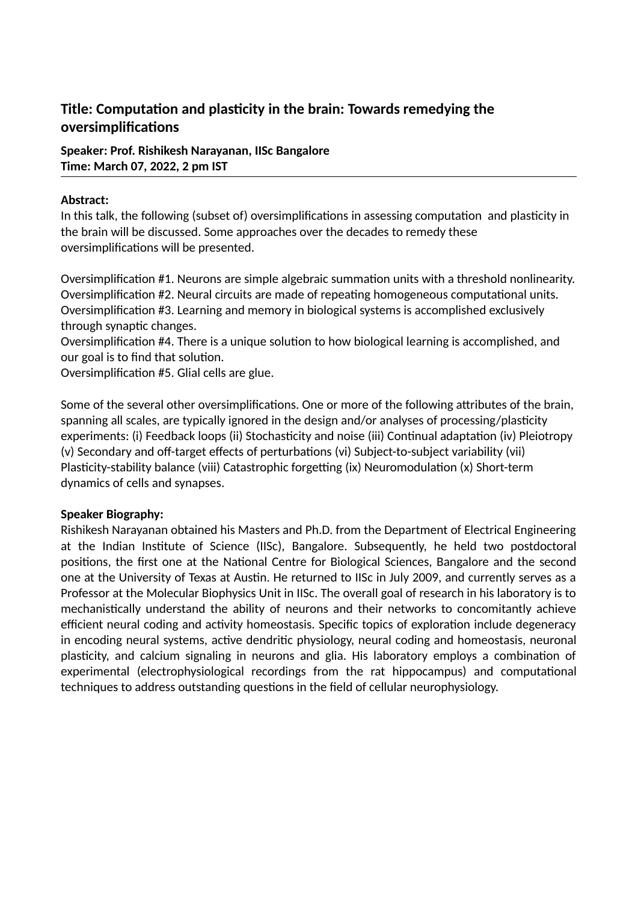# **Title: Computation and plasticity in the brain: Towards remedying the oversimplifications**

**Speaker: Prof. Rishikesh Narayanan, IISc Bangalore Time: March 07, 2022, 2 pm IST**

## **Abstract:**

In this talk, the following (subset of) oversimplifications in assessing computation and plasticity in the brain will be discussed. Some approaches over the decades to remedy these oversimplifications will be presented.

Oversimplification #1. Neurons are simple algebraic summation units with a threshold nonlinearity. Oversimplification #2. Neural circuits are made of repeating homogeneous computational units. Oversimplification #3. Learning and memory in biological systems is accomplished exclusively through synaptic changes.

Oversimplification #4. There is a unique solution to how biological learning is accomplished, and our goal is to find that solution.

Oversimplification #5. Glial cells are glue.

Some of the several other oversimplifications. One or more of the following attributes of the brain, spanning all scales, are typically ignored in the design and/or analyses of processing/plasticity experiments: (i) Feedback loops (ii) Stochasticity and noise (iii) Continual adaptation (iv) Pleiotropy (v) Secondary and off-target effects of perturbations (vi) Subject-to-subject variability (vii) Plasticity-stability balance (viii) Catastrophic forgetting (ix) Neuromodulation (x) Short-term dynamics of cells and synapses.

#### **Speaker Biography:**

Rishikesh Narayanan obtained his Masters and Ph.D. from the Department of Electrical Engineering at the Indian Institute of Science (IISc), Bangalore. Subsequently, he held two postdoctoral positions, the first one at the National Centre for Biological Sciences, Bangalore and the second one at the University of Texas at Austin. He returned to IISc in July 2009, and currently serves as a Professor at the Molecular Biophysics Unit in IISc. The overall goal of research in his laboratory is to mechanistically understand the ability of neurons and their networks to concomitantly achieve efficient neural coding and activity homeostasis. Specific topics of exploration include degeneracy in encoding neural systems, active dendritic physiology, neural coding and homeostasis, neuronal plasticity, and calcium signaling in neurons and glia. His laboratory employs a combination of experimental (electrophysiological recordings from the rat hippocampus) and computational techniques to address outstanding questions in the field of cellular neurophysiology.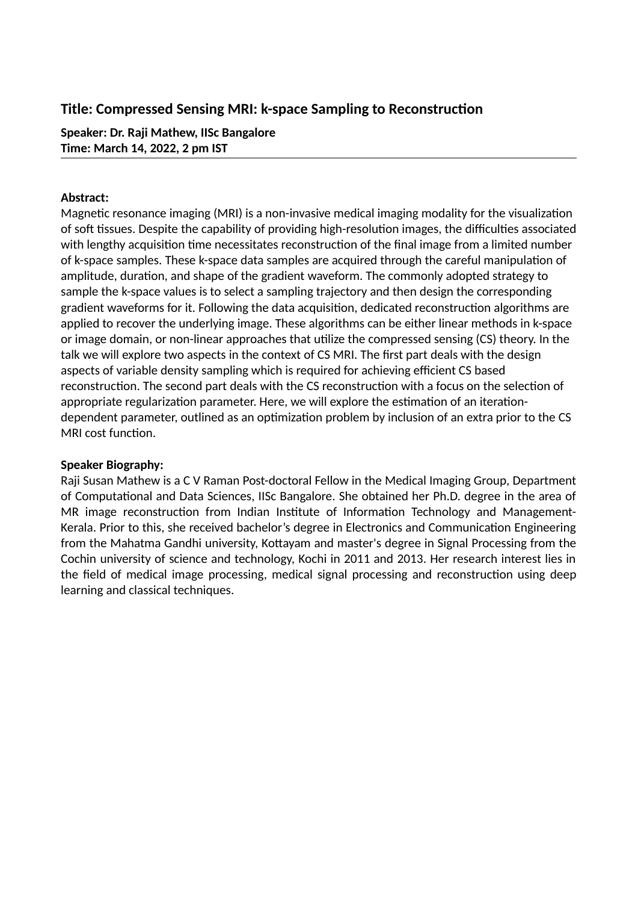## **Title: Compressed Sensing MRI: k-space Sampling to Reconstruction**

**Speaker: Dr. Raji Mathew, IISc Bangalore Time: March 14, 2022, 2 pm IST**

## **Abstract:**

Magnetic resonance imaging (MRI) is a non-invasive medical imaging modality for the visualization of soft tissues. Despite the capability of providing high-resolution images, the difficulties associated with lengthy acquisition time necessitates reconstruction of the final image from a limited number of k-space samples. These k-space data samples are acquired through the careful manipulation of amplitude, duration, and shape of the gradient waveform. The commonly adopted strategy to sample the k-space values is to select a sampling trajectory and then design the corresponding gradient waveforms for it. Following the data acquisition, dedicated reconstruction algorithms are applied to recover the underlying image. These algorithms can be either linear methods in k-space or image domain, or non-linear approaches that utilize the compressed sensing (CS) theory. In the talk we will explore two aspects in the context of CS MRI. The first part deals with the design aspects of variable density sampling which is required for achieving efficient CS based reconstruction. The second part deals with the CS reconstruction with a focus on the selection of appropriate regularization parameter. Here, we will explore the estimation of an iterationdependent parameter, outlined as an optimization problem by inclusion of an extra prior to the CS MRI cost function.

## **Speaker Biography:**

Raji Susan Mathew is a C V Raman Post-doctoral Fellow in the Medical Imaging Group, Department of Computational and Data Sciences, IISc Bangalore. She obtained her Ph.D. degree in the area of MR image reconstruction from Indian Institute of Information Technology and Management-Kerala. Prior to this, she received bachelor's degree in Electronics and Communication Engineering from the Mahatma Gandhi university, Kottayam and master's degree in Signal Processing from the Cochin university of science and technology, Kochi in 2011 and 2013. Her research interest lies in the field of medical image processing, medical signal processing and reconstruction using deep learning and classical techniques.